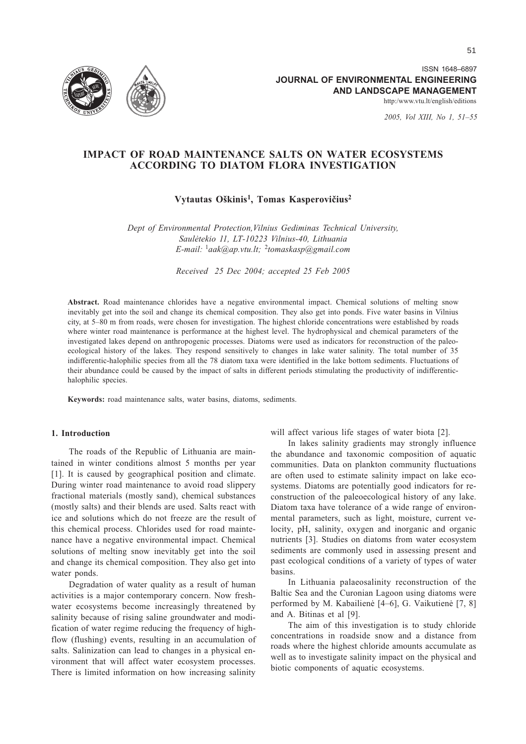

2005, Vol XIII, No 1, 51-55

# **IMPACT OF ROAD MAINTENANCE SALTS ON WATER ECOSYSTEMS ACCORDING TO DIATOM FLORA INVESTIGATION**

# Vytautas Oškinis<sup>1</sup>, Tomas Kasperovičius<sup>2</sup>

Dept of Environmental Protection, Vilnius Gediminas Technical University, Saulėtekio 11, LT-10223 Vilnius-40, Lithuania E-mail:  $\frac{1}{2}aak(\theta_a)p.vtu.$ lt;  $\frac{2}{2}tomaska sp(\theta_a)gmail.com$ 

Received 25 Dec 2004; accepted 25 Feb 2005

Abstract. Road maintenance chlorides have a negative environmental impact. Chemical solutions of melting snow inevitably get into the soil and change its chemical composition. They also get into ponds. Five water basins in Vilnius city, at 5–80 m from roads, were chosen for investigation. The highest chloride concentrations were established by roads where winter road maintenance is performance at the highest level. The hydrophysical and chemical parameters of the investigated lakes depend on anthropogenic processes. Diatoms were used as indicators for reconstruction of the paleoecological history of the lakes. They respond sensitively to changes in lake water salinity. The total number of 35 indifferentic-halophilic species from all the 78 diatom taxa were identified in the lake bottom sediments. Fluctuations of their abundance could be caused by the impact of salts in different periods stimulating the productivity of indifferentichalophilic species.

Keywords: road maintenance salts, water basins, diatoms, sediments.

# 1. Introduction

The roads of the Republic of Lithuania are maintained in winter conditions almost 5 months per year [1]. It is caused by geographical position and climate. During winter road maintenance to avoid road slippery fractional materials (mostly sand), chemical substances (mostly salts) and their blends are used. Salts react with ice and solutions which do not freeze are the result of this chemical process. Chlorides used for road maintenance have a negative environmental impact. Chemical solutions of melting snow inevitably get into the soil and change its chemical composition. They also get into water ponds.

Degradation of water quality as a result of human activities is a major contemporary concern. Now freshwater ecosystems become increasingly threatened by salinity because of rising saline groundwater and modification of water regime reducing the frequency of highflow (flushing) events, resulting in an accumulation of salts. Salinization can lead to changes in a physical environment that will affect water ecosystem processes. There is limited information on how increasing salinity

will affect various life stages of water biota [2].

In lakes salinity gradients may strongly influence the abundance and taxonomic composition of aquatic communities. Data on plankton community fluctuations are often used to estimate salinity impact on lake ecosystems. Diatoms are potentially good indicators for reconstruction of the paleoecological history of any lake. Diatom taxa have tolerance of a wide range of environmental parameters, such as light, moisture, current velocity, pH, salinity, oxygen and inorganic and organic nutrients [3]. Studies on diatoms from water ecosystem sediments are commonly used in assessing present and past ecological conditions of a variety of types of water basins.

In Lithuania palaeosalinity reconstruction of the Baltic Sea and the Curonian Lagoon using diatoms were performed by M. Kabailienė [4-6], G. Vaikutienė [7, 8] and A. Bitinas et al [9].

The aim of this investigation is to study chloride concentrations in roadside snow and a distance from roads where the highest chloride amounts accumulate as well as to investigate salinity impact on the physical and biotic components of aquatic ecosystems.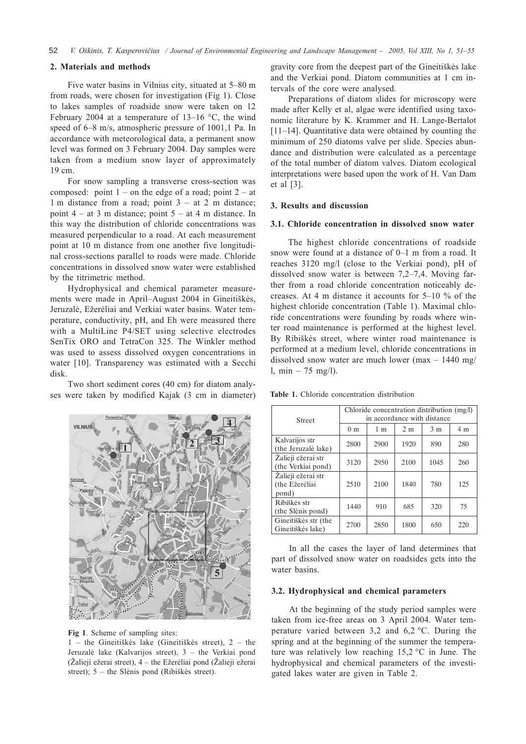# 2. Materials and methods

Five water basins in Vilnius city, situated at 5-80 m from roads, were chosen for investigation (Fig 1). Close to lakes samples of roadside snow were taken on 12 February 2004 at a temperature of 13–16  $\degree$ C, the wind speed of 6–8 m/s, atmospheric pressure of 1001,1 Pa. In accordance with meteorological data, a permanent snow level was formed on 3 February 2004. Day samples were taken from a medium snow layer of approximately 19 cm.

For snow sampling a transverse cross-section was composed: point  $1$  – on the edge of a road; point  $2 - at$ 1 m distance from a road; point  $3 - at 2$  m distance; point  $4 - at 3$  m distance; point  $5 - at 4$  m distance. In this way the distribution of chloride concentrations was measured perpendicular to a road. At each measurement point at 10 m distance from one another five longitudinal cross-sections parallel to roads were made. Chloride concentrations in dissolved snow water were established by the titrimetric method.

Hydrophysical and chemical parameter measurements were made in April–August 2004 in Gineitiškės, Jeruzalė, Ežerėliai and Verkiai water basins. Water temperature, conductivity, pH, and Eh were measured there with a MultiLine P4/SET using selective electrodes SenTix ORO and TetraCon 325. The Winkler method was used to assess dissolved oxygen concentrations in water [10]. Transparency was estimated with a Secchi disk.

Two short sediment cores (40 cm) for diatom analyses were taken by modified Kajak (3 cm in diameter)



Fig 1. Scheme of sampling sites:

1 - the Gineitiškės lake (Gineitiškės street), 2 - the Jeruzalė lake (Kalvarijos street), 3 - the Verkiai pond  $(\check{Z}$ alieji ežerai street), 4 – the Ežerėliai pond (Žalieji ežerai street);  $5$  – the Slėnis pond (Ribiškės street).

gravity core from the deepest part of the Gineitiškės lake and the Verkiai pond. Diatom communities at 1 cm intervals of the core were analysed.

Preparations of diatom slides for microscopy were made after Kelly et al, algae were identified using taxonomic literature by K. Krammer and H. Lange-Bertalot  $[11-14]$ . Quantitative data were obtained by counting the minimum of 250 diatoms valve per slide. Species abundance and distribution were calculated as a percentage of the total number of diatom valves. Diatom ecological interpretations were based upon the work of H. Van Dam et al  $[3]$ .

#### 3. Results and discussion

#### 3.1. Chloride concentration in dissolved snow water

The highest chloride concentrations of roadside snow were found at a distance of 0-1 m from a road. It reaches 3120 mg/l (close to the Verkiai pond), pH of dissolved snow water is between  $7,2-7,4$ . Moving farther from a road chloride concentration noticeably decreases. At 4 m distance it accounts for  $5-10\%$  of the highest chloride concentration (Table 1). Maximal chloride concentrations were founding by roads where winter road maintenance is performed at the highest level. By Ribiškės street, where winter road maintenance is performed at a medium level, chloride concentrations in dissolved snow water are much lower (max  $-1440$  mg/ l, min  $-75$  mg/l).

Table 1. Chloride concentration distribution

| <b>Street</b>                                 | Chloride concentration distribution (mg/l)<br>in accordance with distance |                |                |                |     |  |
|-----------------------------------------------|---------------------------------------------------------------------------|----------------|----------------|----------------|-----|--|
|                                               | 0 <sub>m</sub>                                                            | 1 <sub>m</sub> | 2 <sub>m</sub> | 3 <sub>m</sub> | 4 m |  |
| Kalvarijos str<br>(the Jeruzale lake)         | 2800                                                                      | 2900           | 1920           | 890            | 280 |  |
| Žalieji ežerai str<br>(the Verkiai pond)      | 3120                                                                      | 2950           | 2100           | 1045           | 260 |  |
| Žalieji ežerai str<br>(the Ežerėliai<br>pond) | 2510                                                                      | 2100           | 1840           | 780            | 125 |  |
| Ribiškės str<br>(the Slenis pond)             | 1440                                                                      | 910            | 685            | 320            | 75  |  |
| Gineitiškės str (the<br>Gineitiškės lake)     | 2700                                                                      | 2850           | 1800           | 650            | 220 |  |

In all the cases the layer of land determines that part of dissolved snow water on roadsides gets into the water basins.

#### 3.2. Hydrophysical and chemical parameters

At the beginning of the study period samples were taken from ice-free areas on 3 April 2004. Water temperature varied between 3,2 and 6,2 °C. During the spring and at the beginning of the summer the temperature was relatively low reaching  $15,2$  °C in June. The hydrophysical and chemical parameters of the investigated lakes water are given in Table 2.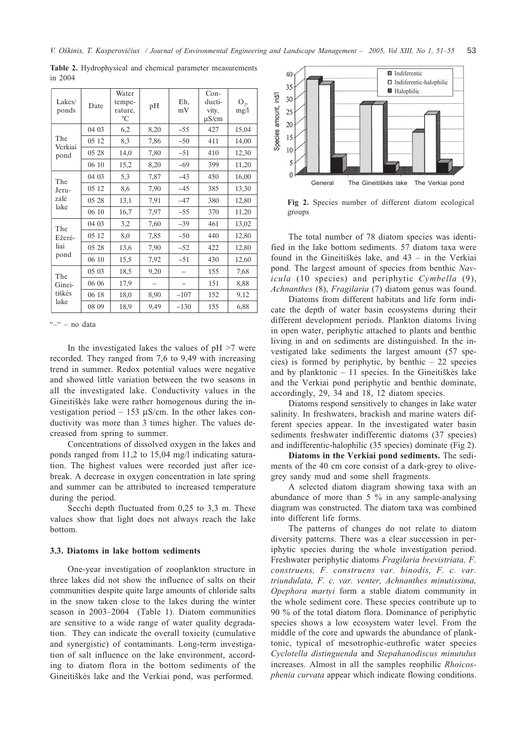| Lakes/<br>ponds                 | Date  | Water<br>tempe-<br>rature,<br>°C | pH   | Eh,<br>mV | $Con-$<br>ducti-<br>vity,<br>$\mu$ S/cm | $O_{22}$<br>mg/l |
|---------------------------------|-------|----------------------------------|------|-----------|-----------------------------------------|------------------|
| The<br>Verkiai<br>pond          | 04 03 | 6,2                              | 8,20 | $-55$     | 427                                     | 15,04            |
|                                 | 05 12 | 8,3                              | 7,86 | $-50$     | 411                                     | 14,00            |
|                                 | 05 28 | 14,0                             | 7,80 | $-51$     | 410                                     | 12,30            |
|                                 | 06 10 | 15,2                             | 8,20 | $-69$     | 399                                     | 11,20            |
| The<br>Jeru-<br>zalė<br>lake    | 04 03 | 5,3                              | 7,87 | $-43$     | 450                                     | 16,00            |
|                                 | 05 12 | 8,6                              | 7,90 | $-45$     | 385                                     | 13,30            |
|                                 | 05 28 | 13,1                             | 7,91 | $-47$     | 380                                     | 12,80            |
|                                 | 06 10 | 16,7                             | 7,97 | $-55$     | 370                                     | 11,20            |
| The<br>Ežerė-<br>liai<br>pond   | 04 03 | 3,2                              | 7,60 | $-39$     | 461                                     | 13,02            |
|                                 | 05 12 | 8,0                              | 7,85 | $-50$     | 440                                     | 12,80            |
|                                 | 05 28 | 13,6                             | 7,90 | $-52$     | 422                                     | 12,80            |
|                                 | 06 10 | 15,5                             | 7,92 | $-51$     | 430                                     | 12,60            |
| The<br>Ginei-<br>tiškės<br>lake | 05 03 | 18,5                             | 9,20 |           | 155                                     | 7,68             |
|                                 | 06 06 | 17,9                             |      |           | 151                                     | 8,88             |
|                                 | 06 18 | 18,0                             | 8,90 | $-107$    | 152                                     | 9,12             |
|                                 | 08 09 | 18,9                             | 9,49 | $-130$    | 155                                     | 6,88             |

Table 2. Hydrophysical and chemical parameter measurements in 2004

"-" - no data

In the investigated lakes the values of  $pH > 7$  were recorded. They ranged from 7,6 to 9,49 with increasing trend in summer. Redox potential values were negative and showed little variation between the two seasons in all the investigated lake. Conductivity values in the Gineitiškės lake were rather homogenous during the investigation period - 153  $\mu$ S/cm. In the other lakes conductivity was more than 3 times higher. The values decreased from spring to summer.

Concentrations of dissolved oxygen in the lakes and ponds ranged from 11,2 to 15,04 mg/l indicating saturation. The highest values were recorded just after icebreak. A decrease in oxygen concentration in late spring and summer can be attributed to increased temperature during the period.

Secchi depth fluctuated from 0,25 to 3,3 m. These values show that light does not always reach the lake hottom

# 3.3. Diatoms in lake bottom sediments

One-year investigation of zooplankton structure in three lakes did not show the influence of salts on their communities despite quite large amounts of chloride salts in the snow taken close to the lakes during the winter season in 2003-2004 (Table 1). Diatom communities are sensitive to a wide range of water quality degradation. They can indicate the overall toxicity (cumulative and synergistic) of contaminants. Long-term investigation of salt influence on the lake environment, according to diatom flora in the bottom sediments of the Gineitiškės lake and the Verkiai pond, was performed.



Fig 2. Species number of different diatom ecological groups

The total number of 78 diatom species was identified in the lake bottom sediments. 57 diatom taxa were found in the Gineitiškės lake, and  $43 -$  in the Verkiai pond. The largest amount of species from benthic Nav*icula* (10 species) and periphytic Cymbella (9), Achnanthes (8), Fragilaria (7) diatom genus was found.

Diatoms from different habitats and life form indicate the depth of water basin ecosystems during their different development periods. Plankton diatoms living in open water, periphytic attached to plants and benthic living in and on sediments are distinguished. In the investigated lake sediments the largest amount (57 species) is formed by periphytic, by benthic  $-22$  species and by planktonic  $-11$  species. In the Gineitiškės lake and the Verkiai pond periphytic and benthic dominate, accordingly, 29, 34 and 18, 12 diatom species.

Diatoms respond sensitively to changes in lake water salinity. In freshwaters, brackish and marine waters different species appear. In the investigated water basin sediments freshwater indifferentic diatoms (37 species) and indifferentic-halophilic (35 species) dominate (Fig 2).

Diatoms in the Verkiai pond sediments. The sediments of the 40 cm core consist of a dark-grey to olivegrey sandy mud and some shell fragments.

A selected diatom diagram showing taxa with an abundance of more than 5 % in any sample-analysing diagram was constructed. The diatom taxa was combined into different life forms.

The patterns of changes do not relate to diatom diversity patterns. There was a clear succession in periphytic species during the whole investigation period. Freshwater periphytic diatoms Fragilaria brevistriata, F. construens, F. construens var. binodis, F. c. var. triundulata, F. c. var. venter, Achnanthes minutissima, Opephora martyi form a stable diatom community in the whole sediment core. These species contribute up to 90 % of the total diatom flora. Dominance of periphytic species shows a low ecosystem water level. From the middle of the core and upwards the abundance of planktonic, typical of mesotrophic-euthrofic water species Cyclotella distinguenda and Stepahanodiscus minutulus increases. Almost in all the samples reophilic Rhoicos*phenia curvata* appear which indicate flowing conditions.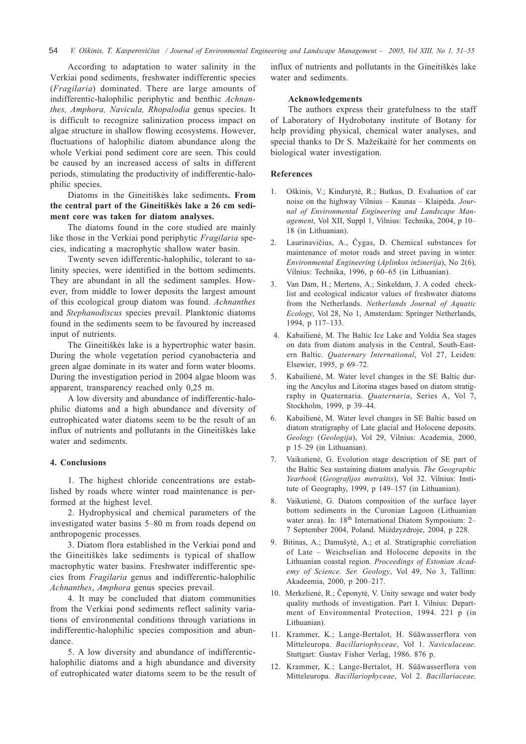According to adaptation to water salinity in the Verkiai pond sediments, freshwater indifferentic species (Fragilaria) dominated. There are large amounts of indifferentic-halophilic periphytic and benthic Achnanthes, Amphora, Navicula, Rhopalodia genus species. It is difficult to recognize salinization process impact on algae structure in shallow flowing ecosystems. However, fluctuations of halophilic diatom abundance along the whole Verkiai pond sediment core are seen. This could be caused by an increased access of salts in different periods, stimulating the productivity of indifferentic-halophilic species.

Diatoms in the Gineitiškės lake sediments. From the central part of the Gineitiškės lake a 26 cm sediment core was taken for diatom analyses.

The diatoms found in the core studied are mainly like those in the Verkiai pond periphytic *Fragilaria* species, indicating a macrophytic shallow water basin.

Twenty seven idifferentic-halophilic, tolerant to salinity species, were identified in the bottom sediments. They are abundant in all the sediment samples. However, from middle to lower deposits the largest amount of this ecological group diatom was found. Achnanthes and Stephanodiscus species prevail. Planktonic diatoms found in the sediments seem to be favoured by increased input of nutrients.

The Gineitiškės lake is a hypertrophic water basin. During the whole vegetation period cyanobacteria and green algae dominate in its water and form water blooms. During the investigation period in 2004 algae bloom was apparent, transparency reached only 0,25 m.

A low diversity and abundance of indifferentic-halophilic diatoms and a high abundance and diversity of eutrophicated water diatoms seem to be the result of an influx of nutrients and pollutants in the Gineitiškės lake water and sediments.

# 4. Conclusions

1. The highest chloride concentrations are established by roads where winter road maintenance is performed at the highest level.

2. Hydrophysical and chemical parameters of the investigated water basins 5-80 m from roads depend on anthropogenic processes.

3. Diatom flora established in the Verkiai pond and the Gineitiškės lake sediments is typical of shallow macrophytic water basins. Freshwater indifferentic species from Fragilaria genus and indifferentic-halophilic Achnanthes, Amphora genus species prevail.

4. It may be concluded that diatom communities from the Verkiai pond sediments reflect salinity variations of environmental conditions through variations in indifferentic-halophilic species composition and abundance.

5. A low diversity and abundance of indifferentichalophilic diatoms and a high abundance and diversity of eutrophicated water diatoms seem to be the result of influx of nutrients and pollutants in the Gineitiškės lake water and sediments.

### Acknowledgements

The authors express their gratefulness to the staff of Laboratory of Hydrobotany institute of Botany for help providing physical, chemical water analyses, and special thanks to Dr S. Mažeikaitė for her comments on biological water investigation.

# **References**

- $1 -$ Oškinis, V.; Kindurvtė, R.; Butkus, D. Evaluation of car noise on the highway Vilnius - Kaunas - Klaipėda. Journal of Environmental Engineering and Landscape Management, Vol XII, Suppl 1, Vilnius: Technika, 2004, p 10-18 (in Lithuanian).
- 2. Laurinavičius, A., Čygas, D. Chemical substances for maintenance of motor roads and street paving in winter. Environmental Engineering (Aplinkos inžinerija), No 2(6), Vilnius: Technika, 1996, p 60–65 (in Lithuanian).
- $3.$ Van Dam, H.; Mertens, A.; Sinkeldam, J. A coded checklist and ecological indicator values of freshwater diatoms from the Netherlands. Netherlands Journal of Aquatic Ecology, Vol 28, No 1, Amsterdam: Springer Netherlands, 1994, p 117-133.
- 4. Kabailienė, M. The Baltic Ice Lake and Yoldia Sea stages on data from diatom analysis in the Central, South-Eastern Baltic. *Ouaternary International*, Vol 27, Leiden: Elsewier, 1995, p 69-72.
- Kabailienė, M. Water level changes in the SE Baltic dur- $5<sub>1</sub>$ ing the Ancylus and Litorina stages based on diatom stratigraphy in Quaternaria. Quaternaria, Series A, Vol 7, Stockholm, 1999, p 39-44.
- Kabailienė, M. Water level changes in SE Baltic based on 6. diatom stratigraphy of Late glacial and Holocene deposits. Geology (Geologija), Vol 29, Vilnius: Academia, 2000, p 15-29 (in Lithuanian).
- 7. Vaikutienė, G. Evolution stage description of SE part of the Baltic Sea sustaining diatom analysis. The Geographic Yearbook (Geografijos metraštis), Vol 32. Vilnius: Institute of Geography, 1999, p 149–157 (in Lithuanian).
- 8. Vaikutienė, G. Diatom composition of the surface layer bottom sediments in the Curonian Lagoon (Lithuanian water area). In: 18<sup>th</sup> International Diatom Symposium: 2-7 September 2004, Poland. Miźdzyzdroje, 2004, p 228.
- 9. Bitinas, A.; Damušytė, A.; et al. Stratigraphic correliation of Late - Weichselian and Holocene deposits in the Lithuanian coastal region. Proceedings of Estonian Academy of Science. Ser. Geology, Vol 49, No 3, Tallinn: Akadeemia, 2000, p 200-217.
- 10. Merkelienė, R.; Čeponytė, V. Unity sewage and water body quality methods of investigation. Part I. Vilnius: Department of Environmental Protection, 1994. 221 p (in Lithuanian).
- 11. Krammer, K.; Lange-Bertalot, H. Süäwasserflora von Mitteleuropa. Bacillariophyceae, Vol 1. Naviculaceae. Stuttgart: Gustav Fisher Verlag, 1986. 876 p.
- 12. Krammer, K.; Lange-Bertalot, H. Süäwasserflora von Mitteleuropa. Bacillariophyceae, Vol 2. Bacillariaceae,